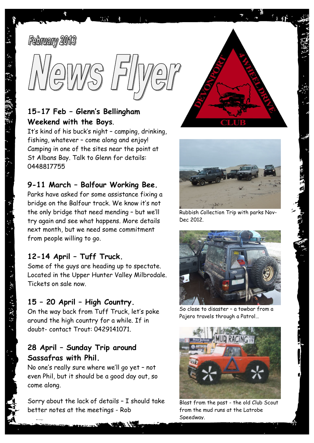



# **15-17 Feb – Glenn's Bellingham Weekend with the Boys**.

It's kind of his buck's night – camping, drinking, fishing, whatever – come along and enjoy! Camping in one of the sites near the point at St Albans Bay. Talk to Glenn for details: 0448817755

### **9-11 March – Balfour Working Bee.**

Parks have asked for some assistance fixing a bridge on the Balfour track. We know it's not the only bridge that need mending – but we'll try again and see what happens. More details next month, but we need some commitment from people willing to go.

### **12-14 April – Tuff Truck.**

Some of the guys are heading up to spectate. Located in the Upper Hunter Valley Milbrodale. Tickets on sale now.

#### **15 – 20 April – High Country.**

On the way back from Tuff Truck, let's poke around the high country for a while. If in doubt- contact Trout: 0429141071.

# **28 April – Sunday Trip around Sassafras with Phil.**

No one's really sure where we'll go yet – not even Phil, but it should be a good day out, so come along.

Sorry about the lack of details – I should take better notes at the meetings - Rob





Rubbish Collection Trip with parks Nov-Dec 2012.



So close to disaster – a towbar from a Pajero travels through a Patrol…



Blast from the past - the old Club Scout from the mud runs at the Latrobe Speedway.

 $\mathcal{A} = \{ \mathcal{A}, \mathcal{B} \}$  and  $\mathcal{A} = \{ \mathcal{A}, \mathcal{B} \}$